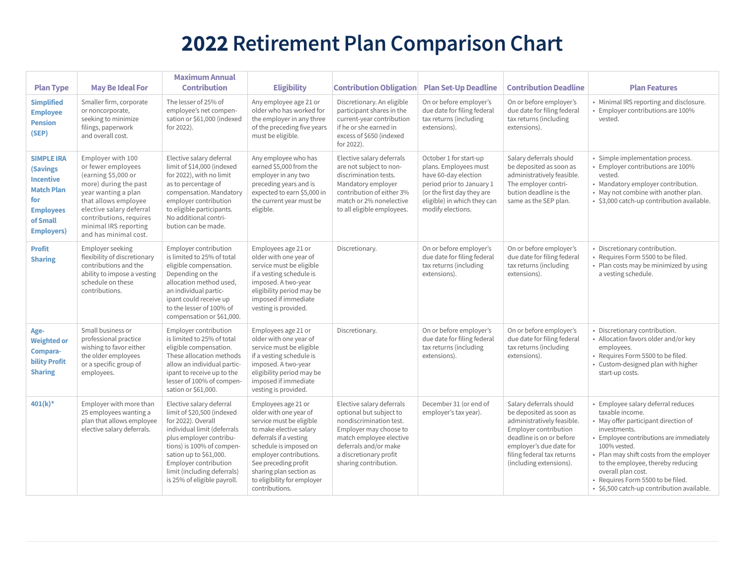# **2022 Retirement Plan Comparison Chart**

| <b>Plan Type</b>                                                                                                                           | <b>May Be Ideal For</b>                                                                                                                                                                                                                         | <b>Maximum Annual</b><br><b>Contribution</b>                                                                                                                                                                                                                                         | <b>Eligibility</b>                                                                                                                                                                                                                                                                      | <b>Contribution Obligation</b>                                                                                                                                                                                   | <b>Plan Set-Up Deadline</b>                                                                                                                                                            | <b>Contribution Deadline</b>                                                                                                                                                                                              | <b>Plan Features</b>                                                                                                                                                                                                                                                                                                                                                |
|--------------------------------------------------------------------------------------------------------------------------------------------|-------------------------------------------------------------------------------------------------------------------------------------------------------------------------------------------------------------------------------------------------|--------------------------------------------------------------------------------------------------------------------------------------------------------------------------------------------------------------------------------------------------------------------------------------|-----------------------------------------------------------------------------------------------------------------------------------------------------------------------------------------------------------------------------------------------------------------------------------------|------------------------------------------------------------------------------------------------------------------------------------------------------------------------------------------------------------------|----------------------------------------------------------------------------------------------------------------------------------------------------------------------------------------|---------------------------------------------------------------------------------------------------------------------------------------------------------------------------------------------------------------------------|---------------------------------------------------------------------------------------------------------------------------------------------------------------------------------------------------------------------------------------------------------------------------------------------------------------------------------------------------------------------|
| <b>Simplified</b><br><b>Employee</b><br><b>Pension</b><br>(SEP)                                                                            | Smaller firm, corporate<br>or noncorporate,<br>seeking to minimize<br>filings, paperwork<br>and overall cost.                                                                                                                                   | The lesser of 25% of<br>employee's net compen-<br>sation or \$61,000 (indexed<br>for 2022).                                                                                                                                                                                          | Any employee age 21 or<br>older who has worked for<br>the employer in any three<br>of the preceding five years<br>must be eligible.                                                                                                                                                     | Discretionary. An eligible<br>participant shares in the<br>current-year contribution<br>if he or she earned in<br>excess of \$650 (indexed<br>for 2022).                                                         | On or before employer's<br>due date for filing federal<br>tax returns (including<br>extensions).                                                                                       | On or before employer's<br>due date for filing federal<br>tax returns (including<br>extensions).                                                                                                                          | • Minimal IRS reporting and disclosure.<br>• Employer contributions are 100%<br>vested.                                                                                                                                                                                                                                                                             |
| <b>SIMPLE IRA</b><br><b>(Savings)</b><br><b>Incentive</b><br><b>Match Plan</b><br>for<br><b>Employees</b><br>of Small<br><b>Employers)</b> | Employer with 100<br>or fewer employees<br>(earning \$5,000 or<br>more) during the past<br>year wanting a plan<br>that allows employee<br>elective salary deferral<br>contributions, requires<br>minimal IRS reporting<br>and has minimal cost. | Elective salary deferral<br>limit of \$14,000 (indexed<br>for 2022), with no limit<br>as to percentage of<br>compensation. Mandatory<br>employer contribution<br>to eligible participants.<br>No additional contri-<br>bution can be made.                                           | Any employee who has<br>earned \$5,000 from the<br>employer in any two<br>preceding years and is<br>expected to earn \$5,000 in<br>the current year must be<br>eligible.                                                                                                                | Elective salary deferrals<br>are not subject to non-<br>discrimination tests.<br>Mandatory employer<br>contribution of either 3%<br>match or 2% nonelective<br>to all eligible employees.                        | October 1 for start-up<br>plans. Employees must<br>have 60-day election<br>period prior to January 1<br>(or the first day they are<br>eligible) in which they can<br>modify elections. | Salary deferrals should<br>be deposited as soon as<br>administratively feasible.<br>The employer contri-<br>bution deadline is the<br>same as the SEP plan.                                                               | • Simple implementation process.<br>• Employer contributions are 100%<br>vested.<br>• Mandatory employer contribution.<br>• May not combine with another plan.<br>· \$3,000 catch-up contribution available.                                                                                                                                                        |
| <b>Profit</b><br><b>Sharing</b>                                                                                                            | Employer seeking<br>flexibility of discretionary<br>contributions and the<br>ability to impose a vesting<br>schedule on these<br>contributions.                                                                                                 | Employer contribution<br>is limited to 25% of total<br>eligible compensation.<br>Depending on the<br>allocation method used,<br>an individual partic-<br>ipant could receive up<br>to the lesser of 100% of<br>compensation or \$61,000.                                             | Employees age 21 or<br>older with one year of<br>service must be eligible<br>if a vesting schedule is<br>imposed. A two-year<br>eligibility period may be<br>imposed if immediate<br>vesting is provided.                                                                               | Discretionary.                                                                                                                                                                                                   | On or before employer's<br>due date for filing federal<br>tax returns (including<br>extensions).                                                                                       | On or before employer's<br>due date for filing federal<br>tax returns (including<br>extensions).                                                                                                                          | • Discretionary contribution.<br>· Requires Form 5500 to be filed.<br>• Plan costs may be minimized by using<br>a vesting schedule.                                                                                                                                                                                                                                 |
| Age-<br><b>Weighted or</b><br>Compara-<br><b>bility Profit</b><br><b>Sharing</b>                                                           | Small business or<br>professional practice<br>wishing to favor either<br>the older employees<br>or a specific group of<br>employees.                                                                                                            | Employer contribution<br>is limited to 25% of total<br>eligible compensation.<br>These allocation methods<br>allow an individual partic-<br>ipant to receive up to the<br>lesser of 100% of compen-<br>sation or \$61,000.                                                           | Employees age 21 or<br>older with one year of<br>service must be eligible<br>if a vesting schedule is<br>imposed. A two-year<br>eligibility period may be<br>imposed if immediate<br>vesting is provided.                                                                               | Discretionary.                                                                                                                                                                                                   | On or before employer's<br>due date for filing federal<br>tax returns (including<br>extensions).                                                                                       | On or before employer's<br>due date for filing federal<br>tax returns (including<br>extensions).                                                                                                                          | · Discretionary contribution.<br>• Allocation favors older and/or key<br>employees.<br>· Requires Form 5500 to be filed.<br>• Custom-designed plan with higher<br>start-up costs.                                                                                                                                                                                   |
| $401(k)$ *                                                                                                                                 | Employer with more than<br>25 employees wanting a<br>plan that allows employee<br>elective salary deferrals.                                                                                                                                    | Elective salary deferral<br>limit of \$20,500 (indexed<br>for 2022). Overall<br>individual limit (deferrals<br>plus employer contribu-<br>tions) is 100% of compen-<br>sation up to \$61,000.<br>Employer contribution<br>limit (including deferrals)<br>is 25% of eligible payroll. | Employees age 21 or<br>older with one year of<br>service must be eligible<br>to make elective salary<br>deferrals if a vesting<br>schedule is imposed on<br>employer contributions.<br>See preceding profit<br>sharing plan section as<br>to eligibility for employer<br>contributions. | Elective salary deferrals<br>optional but subject to<br>nondiscrimination test.<br>Employer may choose to<br>match employee elective<br>deferrals and/or make<br>a discretionary profit<br>sharing contribution. | December 31 (or end of<br>employer's tax year).                                                                                                                                        | Salary deferrals should<br>be deposited as soon as<br>administratively feasible.<br>Employer contribution<br>deadline is on or before<br>employer's due date for<br>filing federal tax returns<br>(including extensions). | · Employee salary deferral reduces<br>taxable income.<br>• May offer participant direction of<br>investments.<br>• Employee contributions are immediately<br>100% vested.<br>• Plan may shift costs from the employer<br>to the employee, thereby reducing<br>overall plan cost.<br>· Requires Form 5500 to be filed.<br>· \$6,500 catch-up contribution available. |